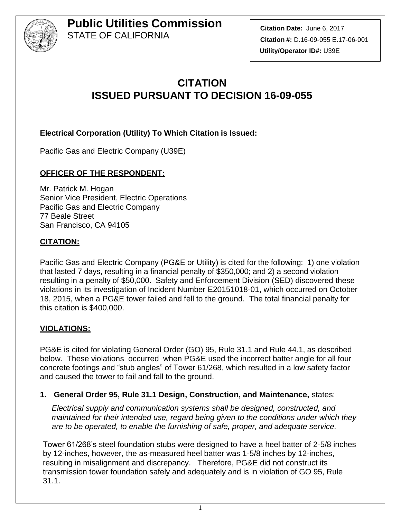

**Citation Date:** June 6, 2017 **Citation #:** D.16-09-055 E.17-06-001 **Utility/Operator ID#:** U39E

# **CITATION ISSUED PURSUANT TO DECISION 16-09-055**

### **Electrical Corporation (Utility) To Which Citation is Issued:**

Pacific Gas and Electric Company (U39E)

### **OFFICER OF THE RESPONDENT:**

Mr. Patrick M. Hogan Senior Vice President, Electric Operations Pacific Gas and Electric Company 77 Beale Street San Francisco, CA 94105

### **CITATION:**

Pacific Gas and Electric Company (PG&E or Utility) is cited for the following: 1) one violation that lasted 7 days, resulting in a financial penalty of \$350,000; and 2) a second violation resulting in a penalty of \$50,000. Safety and Enforcement Division (SED) discovered these violations in its investigation of Incident Number E20151018-01, which occurred on October 18, 2015, when a PG&E tower failed and fell to the ground. The total financial penalty for this citation is \$400,000.

#### **VIOLATIONS:**

PG&E is cited for violating General Order (GO) 95, Rule 31.1 and Rule 44.1, as described below. These violations occurred when PG&E used the incorrect batter angle for all four concrete footings and "stub angles" of Tower 61/268, which resulted in a low safety factor and caused the tower to fail and fall to the ground.

#### **1. General Order 95, Rule 31.1 Design, Construction, and Maintenance,** states:

*Electrical supply and communication systems shall be designed, constructed, and maintained for their intended use, regard being given to the conditions under which they are to be operated, to enable the furnishing of safe, proper, and adequate service.*

Tower 61/268's steel foundation stubs were designed to have a heel batter of 2-5/8 inches by 12-inches, however, the as-measured heel batter was 1-5/8 inches by 12-inches, resulting in misalignment and discrepancy. Therefore, PG&E did not construct its transmission tower foundation safely and adequately and is in violation of GO 95, Rule 31.1.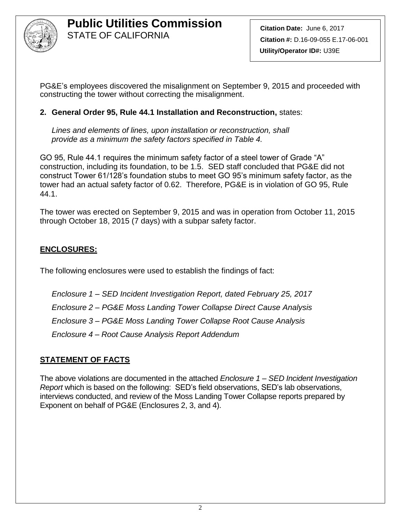

PG&E's employees discovered the misalignment on September 9, 2015 and proceeded with constructing the tower without correcting the misalignment.

### **2. General Order 95, Rule 44.1 Installation and Reconstruction,** states:

*Lines and elements of lines, upon installation or reconstruction, shall provide as a minimum the safety factors specified in Table 4.*

GO 95, Rule 44.1 requires the minimum safety factor of a steel tower of Grade "A" construction, including its foundation, to be 1.5. SED staff concluded that PG&E did not construct Tower 61/128's foundation stubs to meet GO 95's minimum safety factor, as the tower had an actual safety factor of 0.62. Therefore, PG&E is in violation of GO 95, Rule 44.1.

The tower was erected on September 9, 2015 and was in operation from October 11, 2015 through October 18, 2015 (7 days) with a subpar safety factor.

### **ENCLOSURES:**

The following enclosures were used to establish the findings of fact:

*Enclosure 1 – SED Incident Investigation Report, dated February 25, 2017 Enclosure 2 – PG&E Moss Landing Tower Collapse Direct Cause Analysis Enclosure 3 – PG&E Moss Landing Tower Collapse Root Cause Analysis Enclosure 4 – Root Cause Analysis Report Addendum*

### **STATEMENT OF FACTS**

The above violations are documented in the attached *Enclosure 1 – SED Incident Investigation Report* which is based on the following: SED's field observations, SED's lab observations, interviews conducted, and review of the Moss Landing Tower Collapse reports prepared by Exponent on behalf of PG&E (Enclosures 2, 3, and 4).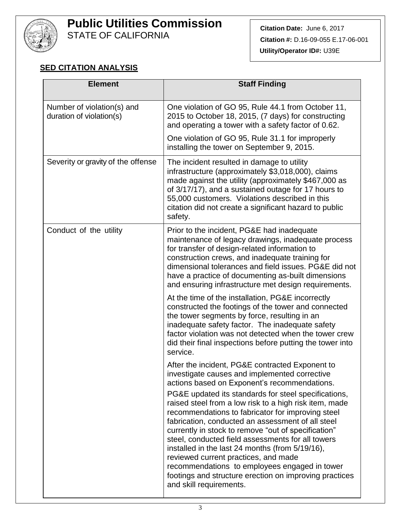

STATE OF CALIFORNIA

### **SED CITATION ANALYSIS**

| <b>Element</b>                                         | <b>Staff Finding</b>                                                                                                                                                                                                                                                                                                                                                                                                                                                                                                                                                                                                                                                                                                      |
|--------------------------------------------------------|---------------------------------------------------------------------------------------------------------------------------------------------------------------------------------------------------------------------------------------------------------------------------------------------------------------------------------------------------------------------------------------------------------------------------------------------------------------------------------------------------------------------------------------------------------------------------------------------------------------------------------------------------------------------------------------------------------------------------|
| Number of violation(s) and<br>duration of violation(s) | One violation of GO 95, Rule 44.1 from October 11,<br>2015 to October 18, 2015, (7 days) for constructing<br>and operating a tower with a safety factor of 0.62.                                                                                                                                                                                                                                                                                                                                                                                                                                                                                                                                                          |
|                                                        | One violation of GO 95, Rule 31.1 for improperly<br>installing the tower on September 9, 2015.                                                                                                                                                                                                                                                                                                                                                                                                                                                                                                                                                                                                                            |
| Severity or gravity of the offense                     | The incident resulted in damage to utility<br>infrastructure (approximately \$3,018,000), claims<br>made against the utility (approximately \$467,000 as<br>of 3/17/17), and a sustained outage for 17 hours to<br>55,000 customers. Violations described in this<br>citation did not create a significant hazard to public<br>safety.                                                                                                                                                                                                                                                                                                                                                                                    |
| Conduct of the utility                                 | Prior to the incident, PG&E had inadequate<br>maintenance of legacy drawings, inadequate process<br>for transfer of design-related information to<br>construction crews, and inadequate training for<br>dimensional tolerances and field issues. PG&E did not<br>have a practice of documenting as-built dimensions<br>and ensuring infrastructure met design requirements.                                                                                                                                                                                                                                                                                                                                               |
|                                                        | At the time of the installation, PG&E incorrectly<br>constructed the footings of the tower and connected<br>the tower segments by force, resulting in an<br>inadequate safety factor. The inadequate safety<br>factor violation was not detected when the tower crew<br>did their final inspections before putting the tower into<br>service.                                                                                                                                                                                                                                                                                                                                                                             |
|                                                        | After the incident, PG&E contracted Exponent to<br>investigate causes and implemented corrective<br>actions based on Exponent's recommendations.<br>PG&E updated its standards for steel specifications,<br>raised steel from a low risk to a high risk item, made<br>recommendations to fabricator for improving steel<br>fabrication, conducted an assessment of all steel<br>currently in stock to remove "out of specification"<br>steel, conducted field assessments for all towers<br>installed in the last 24 months (from 5/19/16),<br>reviewed current practices, and made<br>recommendations to employees engaged in tower<br>footings and structure erection on improving practices<br>and skill requirements. |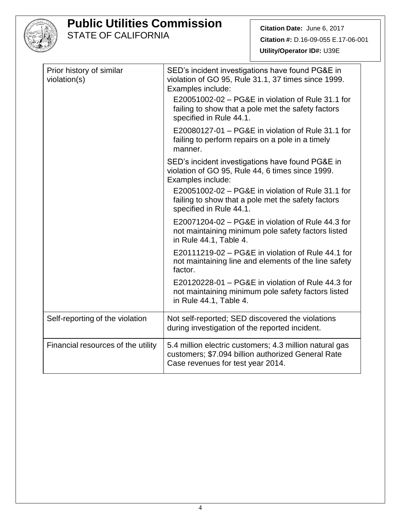

STATE OF CALIFORNIA

| Prior history of similar<br>violation(s) | SED's incident investigations have found PG&E in<br>violation of GO 95, Rule 31.1, 37 times since 1999.<br>Examples include:<br>E20051002-02 – PG&E in violation of Rule 31.1 for<br>failing to show that a pole met the safety factors<br>specified in Rule 44.1. |
|------------------------------------------|--------------------------------------------------------------------------------------------------------------------------------------------------------------------------------------------------------------------------------------------------------------------|
|                                          | E20080127-01 – PG&E in violation of Rule 31.1 for<br>failing to perform repairs on a pole in a timely<br>manner.                                                                                                                                                   |
|                                          | SED's incident investigations have found PG&E in<br>violation of GO 95, Rule 44, 6 times since 1999.<br>Examples include:                                                                                                                                          |
|                                          | E20051002-02 - PG&E in violation of Rule 31.1 for<br>failing to show that a pole met the safety factors<br>specified in Rule 44.1.                                                                                                                                 |
|                                          | E20071204-02 - PG&E in violation of Rule 44.3 for<br>not maintaining minimum pole safety factors listed<br>in Rule 44.1, Table 4.                                                                                                                                  |
|                                          | E20111219-02 - PG&E in violation of Rule 44.1 for<br>not maintaining line and elements of the line safety<br>factor.                                                                                                                                               |
|                                          | E20120228-01 – PG&E in violation of Rule 44.3 for<br>not maintaining minimum pole safety factors listed<br>in Rule 44.1, Table 4.                                                                                                                                  |
| Self-reporting of the violation          | Not self-reported; SED discovered the violations<br>during investigation of the reported incident.                                                                                                                                                                 |
| Financial resources of the utility       | 5.4 million electric customers; 4.3 million natural gas<br>customers; \$7.094 billion authorized General Rate<br>Case revenues for test year 2014.                                                                                                                 |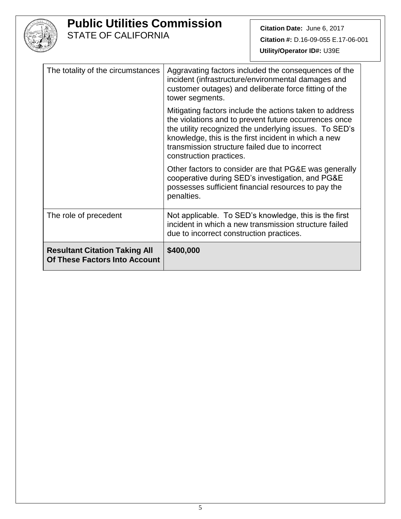

STATE OF CALIFORNIA

| The totality of the circumstances                                            | Aggravating factors included the consequences of the<br>incident (infrastructure/environmental damages and<br>customer outages) and deliberate force fitting of the<br>tower segments.                                                                                                                          |
|------------------------------------------------------------------------------|-----------------------------------------------------------------------------------------------------------------------------------------------------------------------------------------------------------------------------------------------------------------------------------------------------------------|
|                                                                              | Mitigating factors include the actions taken to address<br>the violations and to prevent future occurrences once<br>the utility recognized the underlying issues. To SED's<br>knowledge, this is the first incident in which a new<br>transmission structure failed due to incorrect<br>construction practices. |
|                                                                              | Other factors to consider are that PG&E was generally<br>cooperative during SED's investigation, and PG&E<br>possesses sufficient financial resources to pay the<br>penalties.                                                                                                                                  |
| The role of precedent                                                        | Not applicable. To SED's knowledge, this is the first<br>incident in which a new transmission structure failed<br>due to incorrect construction practices.                                                                                                                                                      |
| <b>Resultant Citation Taking All</b><br><b>Of These Factors Into Account</b> | \$400,000                                                                                                                                                                                                                                                                                                       |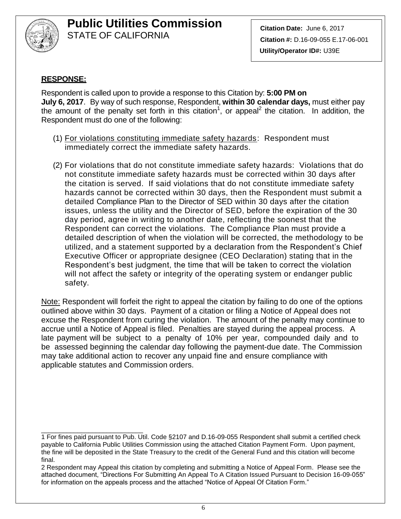

**Citation Date:** June 6, 2017 **Citation #:** D.16-09-055 E.17-06-001 **Utility/Operator ID#:** U39E

### **RESPONSE:**

\_\_\_\_\_\_\_\_\_\_\_\_\_\_\_\_\_\_\_\_\_\_\_\_\_\_\_\_

Respondent is called upon to provide a response to this Citation by: **5:00 PM on July 6, 2017**. By way of such response, Respondent, **within 30 calendar days,** must either pay the amount of the penalty set forth in this citation<sup>1</sup>, or appeal<sup>2</sup> the citation. In addition, the Respondent must do one of the following:

- (1) For violations constituting immediate safety hazards: Respondent must immediately correct the immediate safety hazards.
- (2) For violations that do not constitute immediate safety hazards: Violations that do not constitute immediate safety hazards must be corrected within 30 days after the citation is served. If said violations that do not constitute immediate safety hazards cannot be corrected within 30 days, then the Respondent must submit a detailed Compliance Plan to the Director of SED within 30 days after the citation issues, unless the utility and the Director of SED, before the expiration of the 30 day period, agree in writing to another date, reflecting the soonest that the Respondent can correct the violations. The Compliance Plan must provide a detailed description of when the violation will be corrected, the methodology to be utilized, and a statement supported by a declaration from the Respondent's Chief Executive Officer or appropriate designee (CEO Declaration) stating that in the Respondent's best judgment, the time that will be taken to correct the violation will not affect the safety or integrity of the operating system or endanger public safety.

Note: Respondent will forfeit the right to appeal the citation by failing to do one of the options outlined above within 30 days. Payment of a citation or filing a Notice of Appeal does not excuse the Respondent from curing the violation. The amount of the penalty may continue to accrue until a Notice of Appeal is filed. Penalties are stayed during the appeal process. A late payment will be subject to a penalty of 10% per year, compounded daily and to be assessed beginning the calendar day following the payment-due date. The Commission may take additional action to recover any unpaid fine and ensure compliance with applicable statutes and Commission orders.

<sup>1</sup> For fines paid pursuant to Pub. Util. Code §2107 and D.16-09-055 Respondent shall submit a certified check payable to California Public Utilities Commission using the attached Citation Payment Form. Upon payment, the fine will be deposited in the State Treasury to the credit of the General Fund and this citation will become final.

<sup>2</sup> Respondent may Appeal this citation by completing and submitting a Notice of Appeal Form. Please see the attached document, "Directions For Submitting An Appeal To A Citation Issued Pursuant to Decision 16-09-055" for information on the appeals process and the attached "Notice of Appeal Of Citation Form."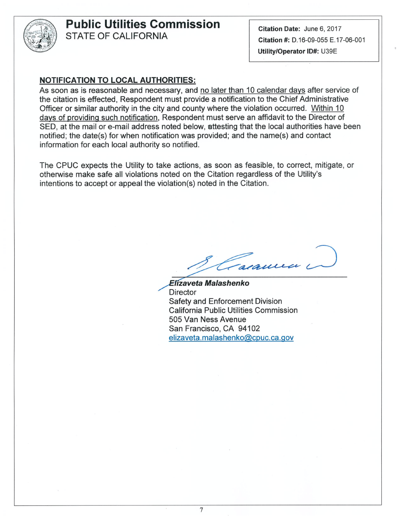

**STATE OF CALIFORNIA** 

Citation Date: June 6, 2017 Citation #: D.16-09-055 E.17-06-001 Utility/Operator ID#: U39E

#### **NOTIFICATION TO LOCAL AUTHORITIES:**

As soon as is reasonable and necessary, and no later than 10 calendar days after service of the citation is effected, Respondent must provide a notification to the Chief Administrative Officer or similar authority in the city and county where the violation occurred. Within 10 days of providing such notification, Respondent must serve an affidavit to the Director of SED, at the mail or e-mail address noted below, attesting that the local authorities have been notified; the date(s) for when notification was provided; and the name(s) and contact information for each local authority so notified.

The CPUC expects the Utility to take actions, as soon as feasible, to correct, mitigate, or otherwise make safe all violations noted on the Citation regardless of the Utility's intentions to accept or appeal the violation(s) noted in the Citation.

cause

Elizaveta Malashenko **Director Safety and Enforcement Division California Public Utilities Commission** 505 Van Ness Avenue San Francisco, CA 94102 elizaveta.malashenko@cpuc.ca.gov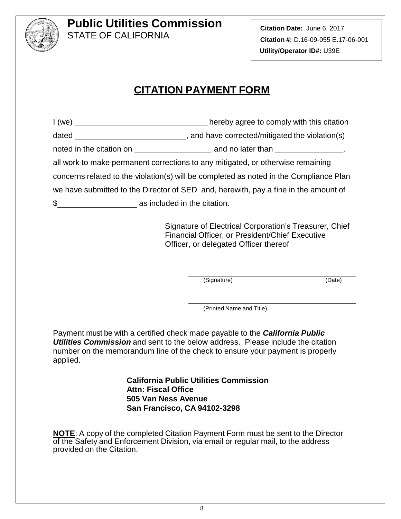

**Citation Date:** June 6, 2017 **Citation #:** D.16-09-055 E.17-06-001 **Utility/Operator ID#:** U39E

# **CITATION PAYMENT FORM**

| 1 (we)                             | hereby agree to comply with this citation                                              |
|------------------------------------|----------------------------------------------------------------------------------------|
|                                    |                                                                                        |
|                                    |                                                                                        |
|                                    | all work to make permanent corrections to any mitigated, or otherwise remaining        |
|                                    | concerns related to the violation(s) will be completed as noted in the Compliance Plan |
|                                    | we have submitted to the Director of SED and, herewith, pay a fine in the amount of    |
| \$<br>as included in the citation. |                                                                                        |

Signature of Electrical Corporation's Treasurer, Chief Financial Officer, or President/Chief Executive Officer, or delegated Officer thereof

(Signature) (Date)

(Printed Name and Title)

Payment must be with a certified check made payable to the *California Public Utilities Commission* and sent to the below address. Please include the citation number on the memorandum line of the check to ensure your payment is properly applied.

> **California Public Utilities Commission Attn: Fiscal Office 505 Van Ness Avenue San Francisco, CA 94102-3298**

**NOTE**: A copy of the completed Citation Payment Form must be sent to the Director of the Safety and Enforcement Division, via email or regular mail, to the address provided on the Citation.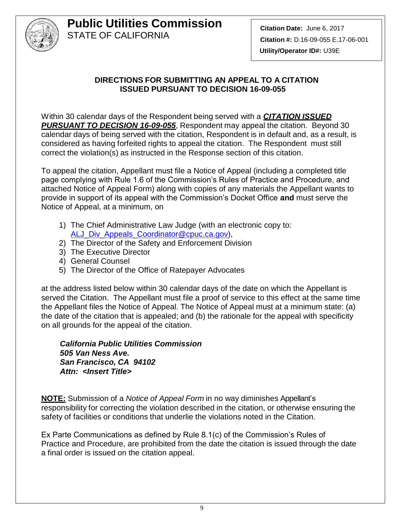

### **DIRECTIONS FOR SUBMITTING AN APPEAL TO A CITATION ISSUED PURSUANT TO DECISION 16-09-055**

Within 30 calendar days of the Respondent being served with a *CITATION ISSUED PURSUANT TO DECISION 16-09-055*, Respondent may appeal the citation. Beyond 30 calendar days of being served with the citation, Respondent is in default and, as a result, is considered as having forfeited rights to appeal the citation. The Respondent must still correct the violation(s) as instructed in the Response section of this citation.

To appeal the citation, Appellant must file a Notice of Appeal (including a completed title page complying with Rule 1.6 of the Commission's Rules of Practice and Procedure, and attached Notice of Appeal Form) along with copies of any materials the Appellant wants to provide in support of its appeal with the Commission's Docket Office **and** must serve the Notice of Appeal, at a minimum, on

- 1) The Chief Administrative Law Judge (with an electronic copy to: [ALJ\\_Div\\_Appeals\\_Coordinator@cpuc.ca.gov\)](mailto:ALJ_Div_Appeals_Coordinator@cpuc.ca.gov),
- 2) The Director of the Safety and Enforcement Division
- 3) The Executive Director
- 4) General Counsel
- 5) The Director of the Office of Ratepayer Advocates

at the address listed below within 30 calendar days of the date on which the Appellant is served the Citation. The Appellant must file a proof of service to this effect at the same time the Appellant files the Notice of Appeal. The Notice of Appeal must at a minimum state: (a) the date of the citation that is appealed; and (b) the rationale for the appeal with specificity on all grounds for the appeal of the citation.

*California Public Utilities Commission 505 Van Ness Ave. San Francisco, CA 94102 Attn: <Insert Title>*

**NOTE:** Submission of a *Notice of Appeal Form* in no way diminishes Appellant's responsibility for correcting the violation described in the citation, or otherwise ensuring the safety of facilities or conditions that underlie the violations noted in the Citation.

Ex Parte Communications as defined by Rule 8.1(c) of the Commission's Rules of Practice and Procedure, are prohibited from the date the citation is issued through the date a final order is issued on the citation appeal.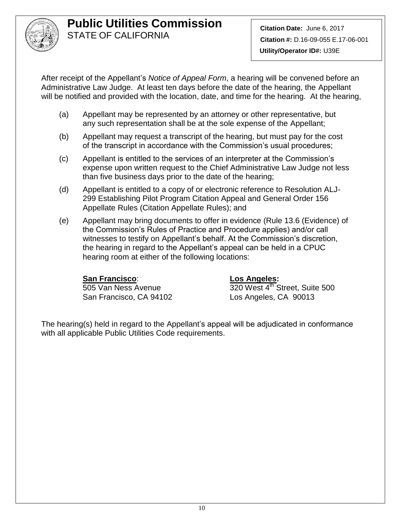

After receipt of the Appellant's *Notice of Appeal Form*, a hearing will be convened before an Administrative Law Judge. At least ten days before the date of the hearing, the Appellant will be notified and provided with the location, date, and time for the hearing. At the hearing,

- (a) Appellant may be represented by an attorney or other representative, but any such representation shall be at the sole expense of the Appellant;
- (b) Appellant may request a transcript of the hearing, but must pay for the cost of the transcript in accordance with the Commission's usual procedures;
- (c) Appellant is entitled to the services of an interpreter at the Commission's expense upon written request to the Chief Administrative Law Judge not less than five business days prior to the date of the hearing;
- (d) Appellant is entitled to a copy of or electronic reference to Resolution ALJ-299 Establishing Pilot Program Citation Appeal and General Order 156 Appellate Rules (Citation Appellate Rules); and
- (e) Appellant may bring documents to offer in evidence (Rule 13.6 (Evidence) of the Commission's Rules of Practice and Procedure applies) and/or call witnesses to testify on Appellant's behalf. At the Commission's discretion, the hearing in regard to the Appellant's appeal can be held in a CPUC hearing room at either of the following locations:

### **San Francisco**: **Los Angeles:**

San Francisco, CA 94102 Los Angeles, CA 90013

505 Van Ness Avenue 1988 1200 Vest 4th Street, Suite 500

The hearing(s) held in regard to the Appellant's appeal will be adjudicated in conformance with all applicable Public Utilities Code requirements.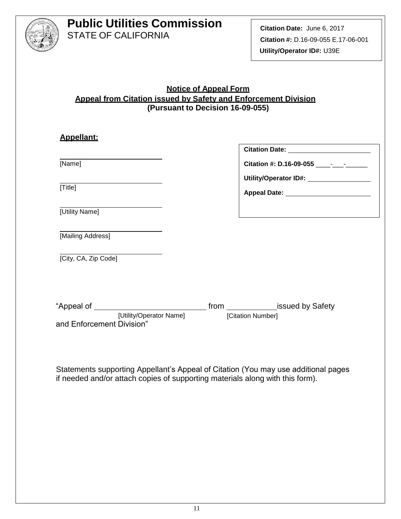

### **Notice of Appeal Form Appeal from Citation issued by Safety and Enforcement Division (Pursuant to Decision 16-09-055)**

| <b>Appellant:</b>                         |                                                   |
|-------------------------------------------|---------------------------------------------------|
|                                           | Citation Date: ________________________           |
| [Name]                                    | Citation #: D.16-09-055 _______________           |
|                                           | Utility/Operator ID#: \\square\\sqrtD#: \\sqrtD#! |
| [Title]                                   |                                                   |
| [Utility Name]                            |                                                   |
| [Mailing Address]                         |                                                   |
| [City, CA, Zip Code]                      |                                                   |
|                                           |                                                   |
|                                           |                                                   |
| [Utility/Operator Name] [Citation Number] |                                                   |
| and Enforcement Division"                 |                                                   |
|                                           |                                                   |

Statements supporting Appellant's Appeal of Citation (You may use additional pages if needed and/or attach copies of supporting materials along with this form).